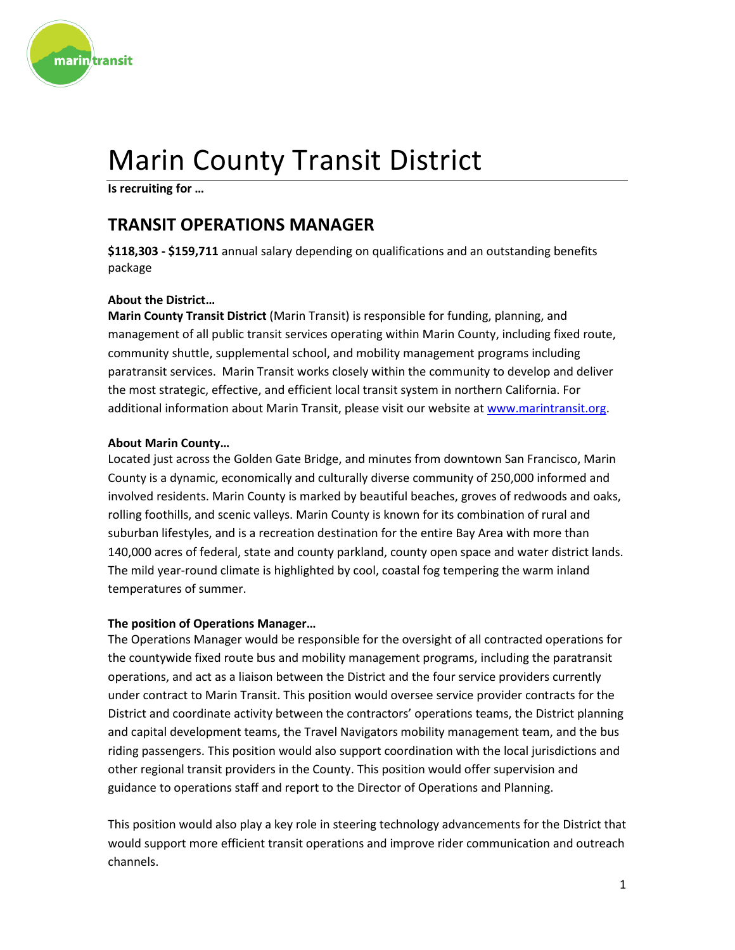

# Marin County Transit District

**Is recruiting for …**

# **TRANSIT OPERATIONS MANAGER**

**\$118,303 - \$159,711** annual salary depending on qualifications and an outstanding benefits package

### **About the District…**

**Marin County Transit District** (Marin Transit) is responsible for funding, planning, and management of all public transit services operating within Marin County, including fixed route, community shuttle, supplemental school, and mobility management programs including paratransit services. Marin Transit works closely within the community to develop and deliver the most strategic, effective, and efficient local transit system in northern California. For additional information about Marin Transit, please visit our website at [www.marintransit.org.](http://www.marintransit.org/)

#### **About Marin County…**

Located just across the Golden Gate Bridge, and minutes from downtown San Francisco, Marin County is a dynamic, economically and culturally diverse community of 250,000 informed and involved residents. Marin County is marked by beautiful beaches, groves of redwoods and oaks, rolling foothills, and scenic valleys. Marin County is known for its combination of rural and suburban lifestyles, and is a recreation destination for the entire Bay Area with more than 140,000 acres of federal, state and county parkland, county open space and water district lands. The mild year-round climate is highlighted by cool, coastal fog tempering the warm inland temperatures of summer.

#### **The position of Operations Manager…**

The Operations Manager would be responsible for the oversight of all contracted operations for the countywide fixed route bus and mobility management programs, including the paratransit operations, and act as a liaison between the District and the four service providers currently under contract to Marin Transit. This position would oversee service provider contracts for the District and coordinate activity between the contractors' operations teams, the District planning and capital development teams, the Travel Navigators mobility management team, and the bus riding passengers. This position would also support coordination with the local jurisdictions and other regional transit providers in the County. This position would offer supervision and guidance to operations staff and report to the Director of Operations and Planning.

This position would also play a key role in steering technology advancements for the District that would support more efficient transit operations and improve rider communication and outreach channels.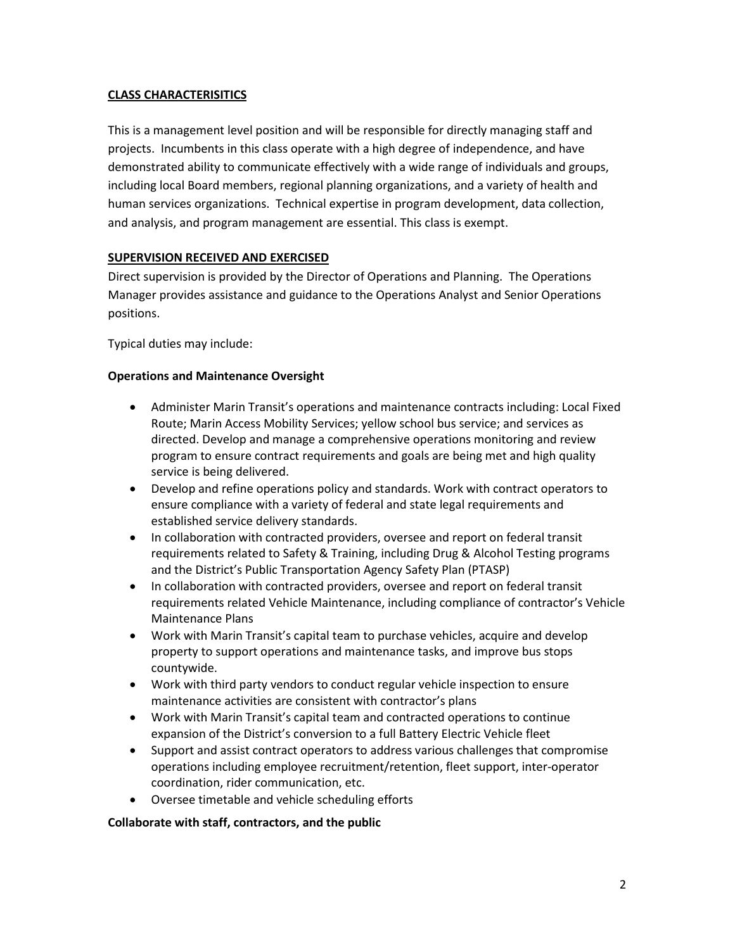#### **CLASS CHARACTERISITICS**

This is a management level position and will be responsible for directly managing staff and projects. Incumbents in this class operate with a high degree of independence, and have demonstrated ability to communicate effectively with a wide range of individuals and groups, including local Board members, regional planning organizations, and a variety of health and human services organizations. Technical expertise in program development, data collection, and analysis, and program management are essential. This class is exempt.

#### **SUPERVISION RECEIVED AND EXERCISED**

Direct supervision is provided by the Director of Operations and Planning. The Operations Manager provides assistance and guidance to the Operations Analyst and Senior Operations positions.

Typical duties may include:

#### **Operations and Maintenance Oversight**

- Administer Marin Transit's operations and maintenance contracts including: Local Fixed Route; Marin Access Mobility Services; yellow school bus service; and services as directed. Develop and manage a comprehensive operations monitoring and review program to ensure contract requirements and goals are being met and high quality service is being delivered.
- Develop and refine operations policy and standards. Work with contract operators to ensure compliance with a variety of federal and state legal requirements and established service delivery standards.
- In collaboration with contracted providers, oversee and report on federal transit requirements related to Safety & Training, including Drug & Alcohol Testing programs and the District's Public Transportation Agency Safety Plan (PTASP)
- In collaboration with contracted providers, oversee and report on federal transit requirements related Vehicle Maintenance, including compliance of contractor's Vehicle Maintenance Plans
- Work with Marin Transit's capital team to purchase vehicles, acquire and develop property to support operations and maintenance tasks, and improve bus stops countywide.
- Work with third party vendors to conduct regular vehicle inspection to ensure maintenance activities are consistent with contractor's plans
- Work with Marin Transit's capital team and contracted operations to continue expansion of the District's conversion to a full Battery Electric Vehicle fleet
- Support and assist contract operators to address various challenges that compromise operations including employee recruitment/retention, fleet support, inter-operator coordination, rider communication, etc.
- Oversee timetable and vehicle scheduling efforts

#### **Collaborate with staff, contractors, and the public**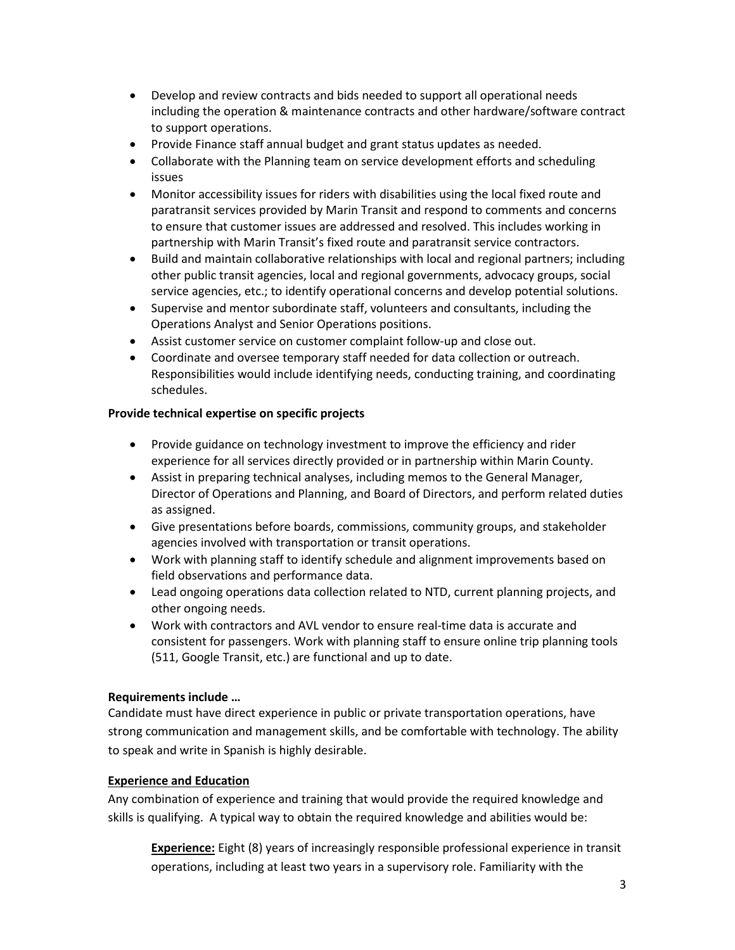- Develop and review contracts and bids needed to support all operational needs including the operation & maintenance contracts and other hardware/software contract to support operations.
- Provide Finance staff annual budget and grant status updates as needed.
- Collaborate with the Planning team on service development efforts and scheduling issues
- Monitor accessibility issues for riders with disabilities using the local fixed route and paratransit services provided by Marin Transit and respond to comments and concerns to ensure that customer issues are addressed and resolved. This includes working in partnership with Marin Transit's fixed route and paratransit service contractors.
- Build and maintain collaborative relationships with local and regional partners; including other public transit agencies, local and regional governments, advocacy groups, social service agencies, etc.; to identify operational concerns and develop potential solutions.
- Supervise and mentor subordinate staff, volunteers and consultants, including the Operations Analyst and Senior Operations positions.
- Assist customer service on customer complaint follow-up and close out.
- Coordinate and oversee temporary staff needed for data collection or outreach. Responsibilities would include identifying needs, conducting training, and coordinating schedules.

#### **Provide technical expertise on specific projects**

- Provide guidance on technology investment to improve the efficiency and rider experience for all services directly provided or in partnership within Marin County.
- Assist in preparing technical analyses, including memos to the General Manager, Director of Operations and Planning, and Board of Directors, and perform related duties as assigned.
- Give presentations before boards, commissions, community groups, and stakeholder agencies involved with transportation or transit operations.
- Work with planning staff to identify schedule and alignment improvements based on field observations and performance data.
- Lead ongoing operations data collection related to NTD, current planning projects, and other ongoing needs.
- Work with contractors and AVL vendor to ensure real-time data is accurate and consistent for passengers. Work with planning staff to ensure online trip planning tools (511, Google Transit, etc.) are functional and up to date.

#### **Requirements include …**

Candidate must have direct experience in public or private transportation operations, have strong communication and management skills, and be comfortable with technology. The ability to speak and write in Spanish is highly desirable.

#### **Experience and Education**

Any combination of experience and training that would provide the required knowledge and skills is qualifying. A typical way to obtain the required knowledge and abilities would be:

**Experience:** Eight (8) years of increasingly responsible professional experience in transit operations, including at least two years in a supervisory role. Familiarity with the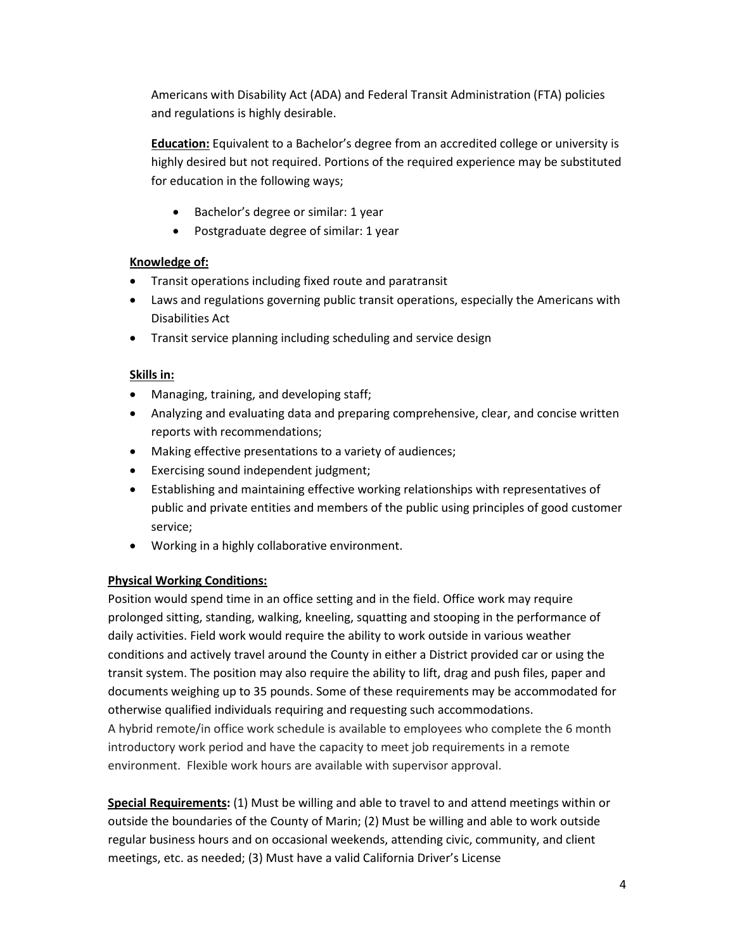Americans with Disability Act (ADA) and Federal Transit Administration (FTA) policies and regulations is highly desirable.

**Education:** Equivalent to a Bachelor's degree from an accredited college or university is highly desired but not required. Portions of the required experience may be substituted for education in the following ways;

- Bachelor's degree or similar: 1 year
- Postgraduate degree of similar: 1 year

# **Knowledge of:**

- Transit operations including fixed route and paratransit
- Laws and regulations governing public transit operations, especially the Americans with Disabilities Act
- Transit service planning including scheduling and service design

# **Skills in:**

- Managing, training, and developing staff;
- Analyzing and evaluating data and preparing comprehensive, clear, and concise written reports with recommendations;
- Making effective presentations to a variety of audiences;
- Exercising sound independent judgment;
- Establishing and maintaining effective working relationships with representatives of public and private entities and members of the public using principles of good customer service;
- Working in a highly collaborative environment.

# **Physical Working Conditions:**

Position would spend time in an office setting and in the field. Office work may require prolonged sitting, standing, walking, kneeling, squatting and stooping in the performance of daily activities. Field work would require the ability to work outside in various weather conditions and actively travel around the County in either a District provided car or using the transit system. The position may also require the ability to lift, drag and push files, paper and documents weighing up to 35 pounds. Some of these requirements may be accommodated for otherwise qualified individuals requiring and requesting such accommodations. A hybrid remote/in office work schedule is available to employees who complete the 6 month introductory work period and have the capacity to meet job requirements in a remote environment. Flexible work hours are available with supervisor approval.

**Special Requirements:** (1) Must be willing and able to travel to and attend meetings within or outside the boundaries of the County of Marin; (2) Must be willing and able to work outside regular business hours and on occasional weekends, attending civic, community, and client meetings, etc. as needed; (3) Must have a valid California Driver's License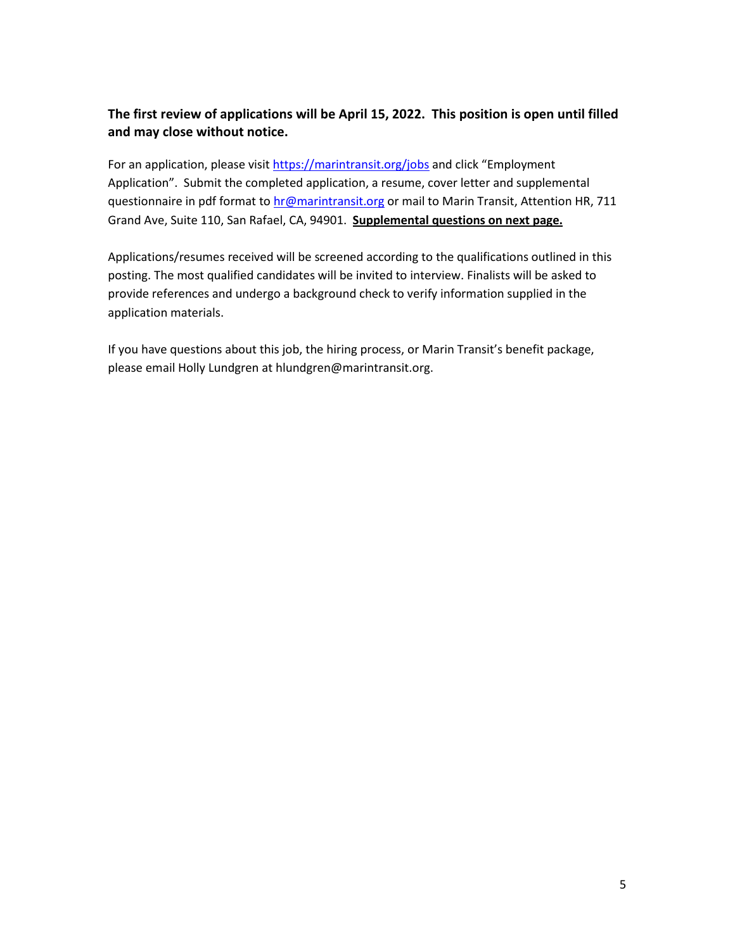# **The first review of applications will be April 15, 2022. This position is open until filled and may close without notice.**

For an application, please visit <https://marintransit.org/jobs> and click "Employment Application". Submit the completed application, a resume, cover letter and supplemental questionnaire in pdf format to [hr@marintransit.org](mailto:hr@marintransit.org) or mail to Marin Transit, Attention HR, 711 Grand Ave, Suite 110, San Rafael, CA, 94901. **Supplemental questions on next page.** 

Applications/resumes received will be screened according to the qualifications outlined in this posting. The most qualified candidates will be invited to interview. Finalists will be asked to provide references and undergo a background check to verify information supplied in the application materials.

If you have questions about this job, the hiring process, or Marin Transit's benefit package, please email Holly Lundgren at hlundgren@marintransit.org.